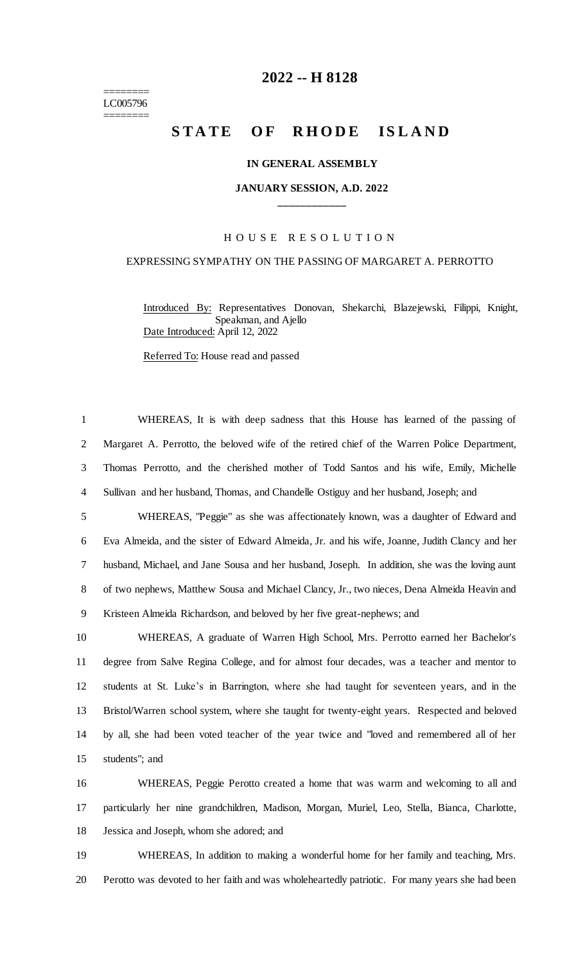======== LC005796 ========

# **-- H 8128**

# **STATE OF RHODE ISLAND**

### **IN GENERAL ASSEMBLY**

# **JANUARY SESSION, A.D. 2022 \_\_\_\_\_\_\_\_\_\_\_\_**

### H O U S E R E S O L U T I O N

## EXPRESSING SYMPATHY ON THE PASSING OF MARGARET A. PERROTTO

Introduced By: Representatives Donovan, Shekarchi, Blazejewski, Filippi, Knight, Speakman, and Ajello Date Introduced: April 12, 2022

Referred To: House read and passed

 WHEREAS, It is with deep sadness that this House has learned of the passing of Margaret A. Perrotto, the beloved wife of the retired chief of the Warren Police Department, Thomas Perrotto, and the cherished mother of Todd Santos and his wife, Emily, Michelle Sullivan and her husband, Thomas, and Chandelle Ostiguy and her husband, Joseph; and WHEREAS, "Peggie" as she was affectionately known, was a daughter of Edward and Eva Almeida, and the sister of Edward Almeida, Jr. and his wife, Joanne, Judith Clancy and her husband, Michael, and Jane Sousa and her husband, Joseph. In addition, she was the loving aunt of two nephews, Matthew Sousa and Michael Clancy, Jr., two nieces, Dena Almeida Heavin and

Kristeen Almeida Richardson, and beloved by her five great-nephews; and

 WHEREAS, A graduate of Warren High School, Mrs. Perrotto earned her Bachelor's degree from Salve Regina College, and for almost four decades, was a teacher and mentor to students at St. Luke's in Barrington, where she had taught for seventeen years, and in the Bristol/Warren school system, where she taught for twenty-eight years. Respected and beloved by all, she had been voted teacher of the year twice and "loved and remembered all of her students"; and

 WHEREAS, Peggie Perotto created a home that was warm and welcoming to all and particularly her nine grandchildren, Madison, Morgan, Muriel, Leo, Stella, Bianca, Charlotte, Jessica and Joseph, whom she adored; and

 WHEREAS, In addition to making a wonderful home for her family and teaching, Mrs. Perotto was devoted to her faith and was wholeheartedly patriotic. For many years she had been